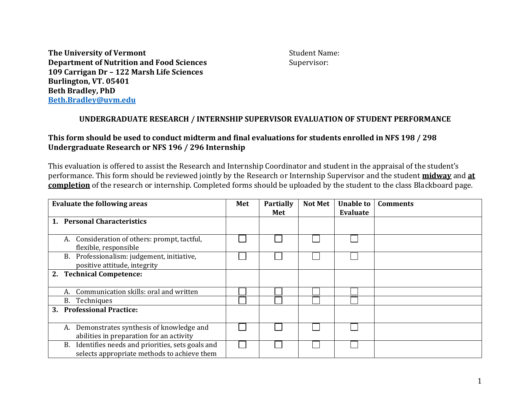**The University of Vermont** Student Name: **Department of Nutrition and Food Sciences** Supervisor: **109 Carrigan Dr – 122 Marsh Life Sciences Burlington, VT. 05401 Beth Bradley, PhD [Beth.Bradley@uvm.edu](mailto:Beth.Bradley@uvm.edu)**

## **UNDERGRADUATE RESEARCH / INTERNSHIP SUPERVISOR EVALUATION OF STUDENT PERFORMANCE**

## **This form should be used to conduct midterm and final evaluations for students enrolled in NFS 198 / 298 Undergraduate Research or NFS 196 / 296 Internship**

This evaluation is offered to assist the Research and Internship Coordinator and student in the appraisal of the student's performance. This form should be reviewed jointly by the Research or Internship Supervisor and the student **midway** and **at completion** of the research or internship. Completed forms should be uploaded by the student to the class Blackboard page.

| <b>Evaluate the following areas</b>   |                                                                                                      | Met | <b>Partially</b><br>Met | <b>Not Met</b> | <b>Unable to</b><br>Evaluate | <b>Comments</b> |
|---------------------------------------|------------------------------------------------------------------------------------------------------|-----|-------------------------|----------------|------------------------------|-----------------|
| <b>Personal Characteristics</b><br>1. |                                                                                                      |     |                         |                |                              |                 |
|                                       | Consideration of others: prompt, tactful,<br>A.<br>flexible, responsible                             |     |                         |                |                              |                 |
|                                       | Professionalism: judgement, initiative,<br>B.<br>positive attitude, integrity                        |     |                         |                |                              |                 |
|                                       | 2. Technical Competence:                                                                             |     |                         |                |                              |                 |
|                                       | Communication skills: oral and written<br>А.                                                         |     |                         |                |                              |                 |
|                                       | B.<br>Techniques                                                                                     |     |                         |                |                              |                 |
| 3.                                    | <b>Professional Practice:</b>                                                                        |     |                         |                |                              |                 |
|                                       | Demonstrates synthesis of knowledge and<br>A.<br>abilities in preparation for an activity            |     |                         |                |                              |                 |
|                                       | Identifies needs and priorities, sets goals and<br>В.<br>selects appropriate methods to achieve them |     |                         |                |                              |                 |